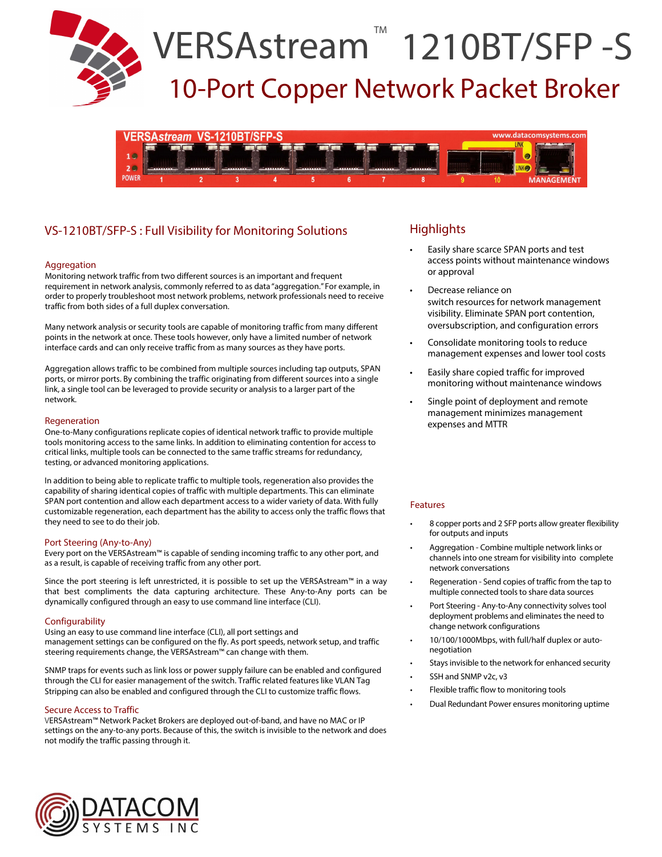



# VS-1210BT/SFP-S : Full Visibility for Monitoring Solutions

#### Aggregation

Monitoring network traffic from two different sources is an important and frequent requirement in network analysis, commonly referred to as data "aggregation." For example, in order to properly troubleshoot most network problems, network professionals need to receive traffic from both sides of a full duplex conversation.

Many network analysis or security tools are capable of monitoring traffic from many different points in the network at once. These tools however, only have a limited number of network interface cards and can only receive traffic from as many sources as they have ports.

Aggregation allows traffic to be combined from multiple sources including tap outputs, SPAN ports, or mirror ports. By combining the traffic originating from different sources into a single link, a single tool can be leveraged to provide security or analysis to a larger part of the network.

#### Regeneration

One-to-Many configurations replicate copies of identical network traffic to provide multiple tools monitoring access to the same links. In addition to eliminating contention for access to critical links, multiple tools can be connected to the same traffic streams for redundancy, testing, or advanced monitoring applications.

In addition to being able to replicate traffic to multiple tools, regeneration also provides the capability of sharing identical copies of traffic with multiple departments. This can eliminate SPAN port contention and allow each department access to a wider variety of data. With fully customizable regeneration, each department has the ability to access only the traffic flows that they need to see to do their job.

#### Port Steering (Any-to-Any)

Every port on the VERSAstream™ is capable of sending incoming traffic to any other port, and as a result, is capable of receiving traffic from any other port.

Since the port steering is left unrestricted, it is possible to set up the VERSAstream™ in a way that best compliments the data capturing architecture. These Any-to-Any ports can be dynamically configured through an easy to use command line interface (CLI).

#### **Configurability**

Using an easy to use command line interface (CLI), all port settings and management settings can be configured on the fly. As port speeds, network setup, and traffic steering requirements change, the VERSAstream™ can change with them.

SNMP traps for events such as link loss or power supply failure can be enabled and configured through the CLI for easier management of the switch. Traffic related features like VLAN Tag Stripping can also be enabled and configured through the CLI to customize traffic flows.

#### Secure Access to Traffic

VERSAstream™ Network Packet Brokers are deployed out-of-band, and have no MAC or IP settings on the any-to-any ports. Because of this, the switch is invisible to the network and does not modify the traffic passing through it.

## **Highlights**

- Easily share scarce SPAN ports and test access points without maintenance windows or approval
- Decrease reliance on switch resources for network management visibility. Eliminate SPAN port contention, oversubscription, and configuration errors
- Consolidate monitoring tools to reduce management expenses and lower tool costs
- Easily share copied traffic for improved monitoring without maintenance windows
- Single point of deployment and remote management minimizes management expenses and MTTR

#### Features

- 8 copper ports and 2 SFP ports allow greater flexibility for outputs and inputs
- Aggregation Combine multiple network links or channels into one stream for visibility into complete network conversations
- Regeneration Send copies of traffic from the tap to multiple connected tools to share data sources
- Port Steering Any-to-Any connectivity solves tool deployment problems and eliminates the need to change network configurations
- 10/100/1000Mbps, with full/half duplex or autonegotiation
- Stays invisible to the network for enhanced security
- SSH and SNMP v2c, v3
- Flexible traffic flow to monitoring tools
- Dual Redundant Power ensures monitoring uptime